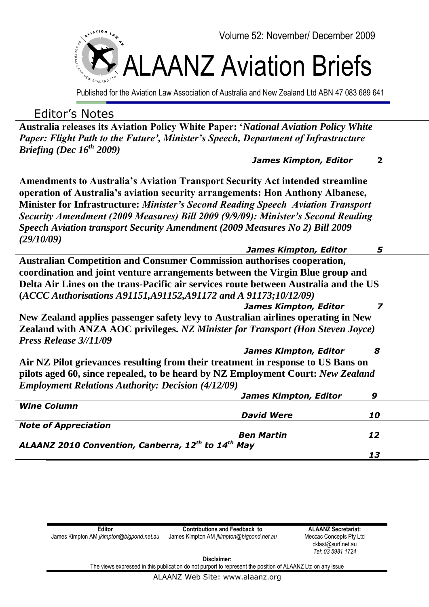

Published for the Aviation Law Association of Australia and New Zealand Ltd ABN 47 083 689 641

# Editor's Notes

**Australia releases its Aviation Policy White Paper: '***National Aviation Policy White Paper: Flight Path to the Future', Minister's Speech, Department of Infrastructure Briefing (Dec 16th 2009)* 

 *James Kimpton, Editor* **2**

**Amendments to Australia's Aviation Transport Security Act intended streamline operation of Australia's aviation security arrangements: Hon Anthony Albanese, Minister for Infrastructure:** *Minister's Second Reading Speech Aviation Transport Security Amendment (2009 Measures) Bill 2009 (9/9/09): Minister's Second Reading Speech Aviation transport Security Amendment (2009 Measures No 2) Bill 2009 (29/10/09)* 

| <b>James Kimpton, Editor</b>                                                          | 5  |  |
|---------------------------------------------------------------------------------------|----|--|
| <b>Australian Competition and Consumer Commission authorises cooperation,</b>         |    |  |
| coordination and joint venture arrangements between the Virgin Blue group and         |    |  |
| Delta Air Lines on the trans-Pacific air services route between Australia and the US  |    |  |
| (ACCC Authorisations A91151, A91152, A91172 and A 91173; 10/12/09)                    |    |  |
| <b>James Kimpton, Editor</b>                                                          |    |  |
| New Zealand applies passenger safety levy to Australian airlines operating in New     |    |  |
| <b>Zealand with ANZA AOC privileges. NZ Minister for Transport (Hon Steven Joyce)</b> |    |  |
| Press Release 3//11/09                                                                |    |  |
| James Kimpton, Editor                                                                 | 8  |  |
| Air NZ Pilot grievances resulting from their treatment in response to US Bans on      |    |  |
| pilots aged 60, since repealed, to be heard by NZ Employment Court: New Zealand       |    |  |
| <b>Employment Relations Authority: Decision (4/12/09)</b>                             |    |  |
| <b>James Kimpton, Editor</b><br>9                                                     |    |  |
| <b>Wine Column</b>                                                                    |    |  |
| <b>David Were</b>                                                                     | 10 |  |
| <b>Note of Appreciation</b>                                                           |    |  |
| <b>Ben Martin</b><br>12                                                               |    |  |
| ALAANZ 2010 Convention, Canberra, 12th to 14th May                                    |    |  |
| 13                                                                                    |    |  |

| Editor                                   | <b>Contributions and Feedback to</b>     |   |
|------------------------------------------|------------------------------------------|---|
| James Kimpton AM jkimpton@bigpond.net.au | James Kimpton AM jkimpton@bigpond.net.au | М |
|                                          |                                          |   |

**ALAANZ Secretariat:** eccac Concepts Pty Ltd cklast@surf.net.au *Tel: 03 5981 1724*

**Disclaimer:**

The views expressed in this publication do not purport to represent the position of ALAANZ Ltd on any issue

ALAANZ Web Site: www.alaanz.org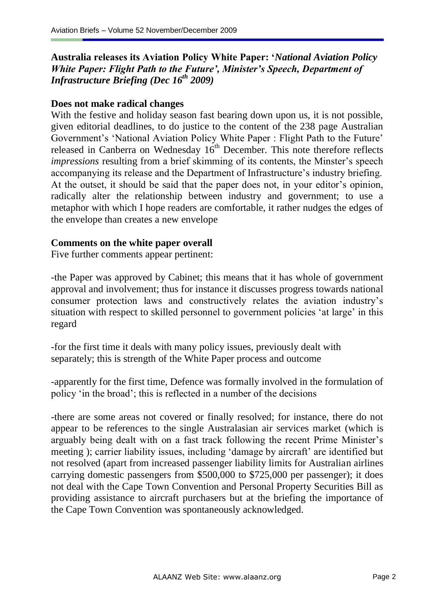# **Australia releases its Aviation Policy White Paper: '***National Aviation Policy White Paper: Flight Path to the Future', Minister's Speech, Department of Infrastructure Briefing (Dec 16th 2009)*

## **Does not make radical changes**

With the festive and holiday season fast bearing down upon us, it is not possible, given editorial deadlines, to do justice to the content of the 238 page Australian Government's 'National Aviation Policy White Paper : Flight Path to the Future' released in Canberra on Wednesday  $16<sup>th</sup>$  December. This note therefore reflects *impressions* resulting from a brief skimming of its contents, the Minster's speech accompanying its release and the Department of Infrastructure's industry briefing. At the outset, it should be said that the paper does not, in your editor's opinion, radically alter the relationship between industry and government; to use a metaphor with which I hope readers are comfortable, it rather nudges the edges of the envelope than creates a new envelope

#### **Comments on the white paper overall**

Five further comments appear pertinent:

-the Paper was approved by Cabinet; this means that it has whole of government approval and involvement; thus for instance it discusses progress towards national consumer protection laws and constructively relates the aviation industry"s situation with respect to skilled personnel to government policies "at large" in this regard

-for the first time it deals with many policy issues, previously dealt with separately; this is strength of the White Paper process and outcome

-apparently for the first time, Defence was formally involved in the formulation of policy "in the broad"; this is reflected in a number of the decisions

-there are some areas not covered or finally resolved; for instance, there do not appear to be references to the single Australasian air services market (which is arguably being dealt with on a fast track following the recent Prime Minister"s meeting ); carrier liability issues, including 'damage by aircraft' are identified but not resolved (apart from increased passenger liability limits for Australian airlines carrying domestic passengers from \$500,000 to \$725,000 per passenger); it does not deal with the Cape Town Convention and Personal Property Securities Bill as providing assistance to aircraft purchasers but at the briefing the importance of the Cape Town Convention was spontaneously acknowledged.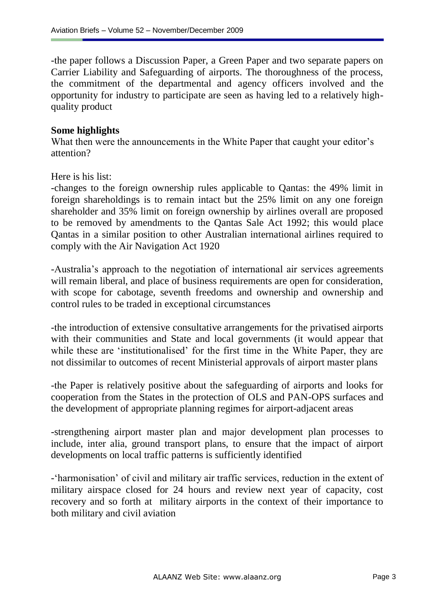-the paper follows a Discussion Paper, a Green Paper and two separate papers on Carrier Liability and Safeguarding of airports. The thoroughness of the process, the commitment of the departmental and agency officers involved and the opportunity for industry to participate are seen as having led to a relatively highquality product

### **Some highlights**

What then were the announcements in the White Paper that caught your editor's attention?

Here is his list:

-changes to the foreign ownership rules applicable to Qantas: the 49% limit in foreign shareholdings is to remain intact but the 25% limit on any one foreign shareholder and 35% limit on foreign ownership by airlines overall are proposed to be removed by amendments to the Qantas Sale Act 1992; this would place Qantas in a similar position to other Australian international airlines required to comply with the Air Navigation Act 1920

-Australia"s approach to the negotiation of international air services agreements will remain liberal, and place of business requirements are open for consideration, with scope for cabotage, seventh freedoms and ownership and ownership and control rules to be traded in exceptional circumstances

-the introduction of extensive consultative arrangements for the privatised airports with their communities and State and local governments (it would appear that while these are 'institutionalised' for the first time in the White Paper, they are not dissimilar to outcomes of recent Ministerial approvals of airport master plans

-the Paper is relatively positive about the safeguarding of airports and looks for cooperation from the States in the protection of OLS and PAN-OPS surfaces and the development of appropriate planning regimes for airport-adjacent areas

-strengthening airport master plan and major development plan processes to include, inter alia, ground transport plans, to ensure that the impact of airport developments on local traffic patterns is sufficiently identified

- 'harmonisation' of civil and military air traffic services, reduction in the extent of military airspace closed for 24 hours and review next year of capacity, cost recovery and so forth at military airports in the context of their importance to both military and civil aviation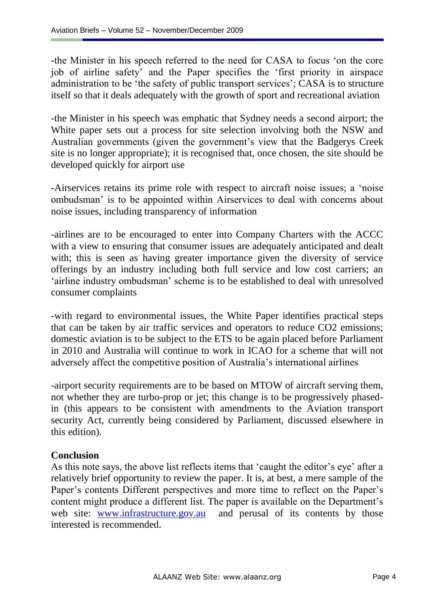-the Minister in his speech referred to the need for CASA to focus "on the core job of airline safety" and the Paper specifies the "first priority in airspace administration to be 'the safety of public transport services'; CASA is to structure itself so that it deals adequately with the growth of sport and recreational aviation

-the Minister in his speech was emphatic that Sydney needs a second airport; the White paper sets out a process for site selection involving both the NSW and Australian governments (given the government's view that the Badgerys Creek site is no longer appropriate); it is recognised that, once chosen, the site should be developed quickly for airport use

-Airservices retains its prime role with respect to aircraft noise issues; a "noise ombudsman" is to be appointed within Airservices to deal with concerns about noise issues, including transparency of information

-airlines are to be encouraged to enter into Company Charters with the ACCC with a view to ensuring that consumer issues are adequately anticipated and dealt with; this is seen as having greater importance given the diversity of service offerings by an industry including both full service and low cost carriers; an "airline industry ombudsman" scheme is to be established to deal with unresolved consumer complaints

-with regard to environmental issues, the White Paper identifies practical steps that can be taken by air traffic services and operators to reduce CO2 emissions; domestic aviation is to be subject to the ETS to be again placed before Parliament in 2010 and Australia will continue to work in ICAO for a scheme that will not adversely affect the competitive position of Australia"s international airlines

-airport security requirements are to be based on MTOW of aircraft serving them, not whether they are turbo-prop or jet; this change is to be progressively phasedin (this appears to be consistent with amendments to the Aviation transport security Act, currently being considered by Parliament, discussed elsewhere in this edition).

## **Conclusion**

As this note says, the above list reflects items that 'caught the editor's eye' after a relatively brief opportunity to review the paper. It is, at best, a mere sample of the Paper's contents Different perspectives and more time to reflect on the Paper's content might produce a different list. The paper is available on the Department's web site: [www.infrastructure.gov.au](http://www.infrastructure.gov.au/) and perusal of its contents by those interested is recommended.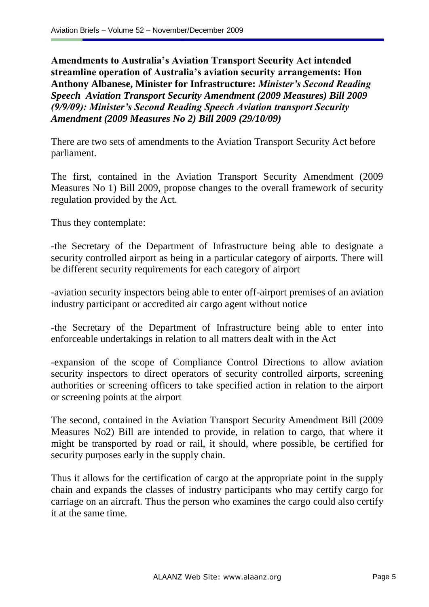**Amendments to Australia's Aviation Transport Security Act intended streamline operation of Australia's aviation security arrangements: Hon Anthony Albanese, Minister for Infrastructure:** *Minister's Second Reading Speech Aviation Transport Security Amendment (2009 Measures) Bill 2009 (9/9/09): Minister's Second Reading Speech Aviation transport Security Amendment (2009 Measures No 2) Bill 2009 (29/10/09)* 

There are two sets of amendments to the Aviation Transport Security Act before parliament.

The first, contained in the Aviation Transport Security Amendment (2009 Measures No 1) Bill 2009, propose changes to the overall framework of security regulation provided by the Act.

Thus they contemplate:

-the Secretary of the Department of Infrastructure being able to designate a security controlled airport as being in a particular category of airports. There will be different security requirements for each category of airport

-aviation security inspectors being able to enter off-airport premises of an aviation industry participant or accredited air cargo agent without notice

-the Secretary of the Department of Infrastructure being able to enter into enforceable undertakings in relation to all matters dealt with in the Act

-expansion of the scope of Compliance Control Directions to allow aviation security inspectors to direct operators of security controlled airports, screening authorities or screening officers to take specified action in relation to the airport or screening points at the airport

The second, contained in the Aviation Transport Security Amendment Bill (2009 Measures No2) Bill are intended to provide, in relation to cargo, that where it might be transported by road or rail, it should, where possible, be certified for security purposes early in the supply chain.

Thus it allows for the certification of cargo at the appropriate point in the supply chain and expands the classes of industry participants who may certify cargo for carriage on an aircraft. Thus the person who examines the cargo could also certify it at the same time.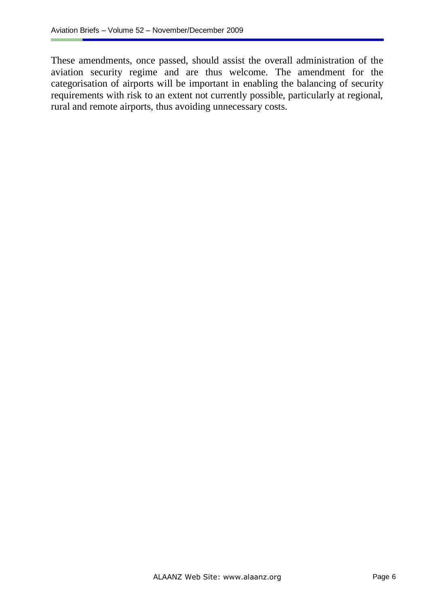These amendments, once passed, should assist the overall administration of the aviation security regime and are thus welcome. The amendment for the categorisation of airports will be important in enabling the balancing of security requirements with risk to an extent not currently possible, particularly at regional, rural and remote airports, thus avoiding unnecessary costs.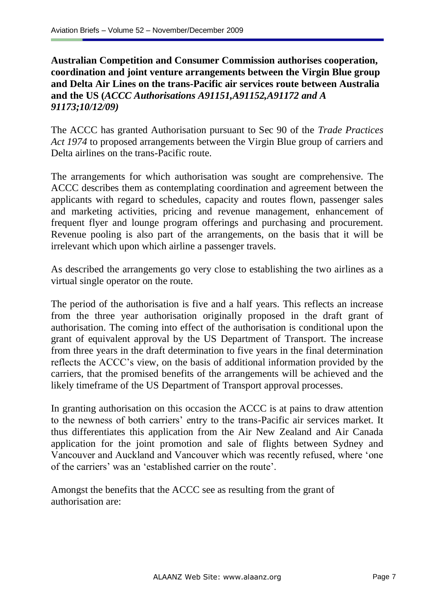**Australian Competition and Consumer Commission authorises cooperation, coordination and joint venture arrangements between the Virgin Blue group and Delta Air Lines on the trans-Pacific air services route between Australia and the US (***ACCC Authorisations A91151,A91152,A91172 and A 91173;10/12/09)*

The ACCC has granted Authorisation pursuant to Sec 90 of the *Trade Practices Act 1974* to proposed arrangements between the Virgin Blue group of carriers and Delta airlines on the trans-Pacific route.

The arrangements for which authorisation was sought are comprehensive. The ACCC describes them as contemplating coordination and agreement between the applicants with regard to schedules, capacity and routes flown, passenger sales and marketing activities, pricing and revenue management, enhancement of frequent flyer and lounge program offerings and purchasing and procurement. Revenue pooling is also part of the arrangements, on the basis that it will be irrelevant which upon which airline a passenger travels.

As described the arrangements go very close to establishing the two airlines as a virtual single operator on the route.

The period of the authorisation is five and a half years. This reflects an increase from the three year authorisation originally proposed in the draft grant of authorisation. The coming into effect of the authorisation is conditional upon the grant of equivalent approval by the US Department of Transport. The increase from three years in the draft determination to five years in the final determination reflects the ACCC"s view, on the basis of additional information provided by the carriers, that the promised benefits of the arrangements will be achieved and the likely timeframe of the US Department of Transport approval processes.

In granting authorisation on this occasion the ACCC is at pains to draw attention to the newness of both carriers' entry to the trans-Pacific air services market. It thus differentiates this application from the Air New Zealand and Air Canada application for the joint promotion and sale of flights between Sydney and Vancouver and Auckland and Vancouver which was recently refused, where "one of the carriers" was an "established carrier on the route".

Amongst the benefits that the ACCC see as resulting from the grant of authorisation are: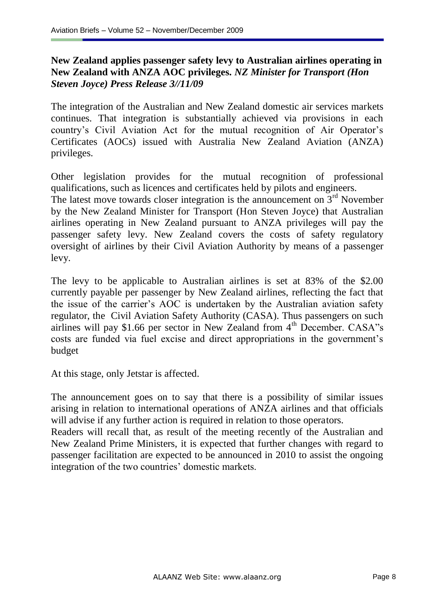# **New Zealand applies passenger safety levy to Australian airlines operating in New Zealand with ANZA AOC privileges.** *NZ Minister for Transport (Hon Steven Joyce) Press Release 3//11/09*

The integration of the Australian and New Zealand domestic air services markets continues. That integration is substantially achieved via provisions in each country's Civil Aviation Act for the mutual recognition of Air Operator's Certificates (AOCs) issued with Australia New Zealand Aviation (ANZA) privileges.

Other legislation provides for the mutual recognition of professional qualifications, such as licences and certificates held by pilots and engineers.

The latest move towards closer integration is the announcement on  $3<sup>rd</sup>$  November by the New Zealand Minister for Transport (Hon Steven Joyce) that Australian airlines operating in New Zealand pursuant to ANZA privileges will pay the passenger safety levy. New Zealand covers the costs of safety regulatory oversight of airlines by their Civil Aviation Authority by means of a passenger levy.

The levy to be applicable to Australian airlines is set at 83% of the \$2.00 currently payable per passenger by New Zealand airlines, reflecting the fact that the issue of the carrier"s AOC is undertaken by the Australian aviation safety regulator, the Civil Aviation Safety Authority (CASA). Thus passengers on such airlines will pay \$1.66 per sector in New Zealand from  $4<sup>th</sup>$  December. CASA"s costs are funded via fuel excise and direct appropriations in the government's budget

At this stage, only Jetstar is affected.

The announcement goes on to say that there is a possibility of similar issues arising in relation to international operations of ANZA airlines and that officials will advise if any further action is required in relation to those operators.

Readers will recall that, as result of the meeting recently of the Australian and New Zealand Prime Ministers, it is expected that further changes with regard to passenger facilitation are expected to be announced in 2010 to assist the ongoing integration of the two countries' domestic markets.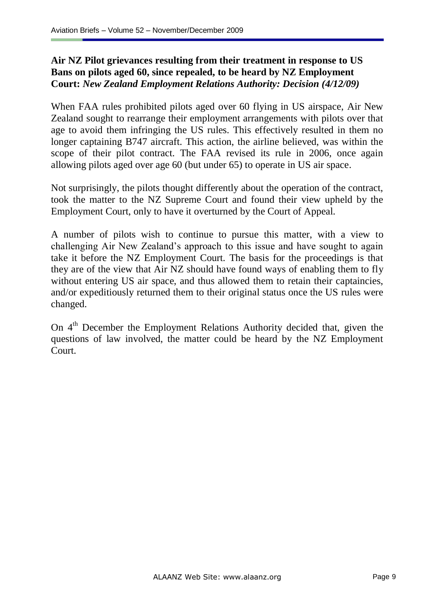# **Air NZ Pilot grievances resulting from their treatment in response to US Bans on pilots aged 60, since repealed, to be heard by NZ Employment Court:** *New Zealand Employment Relations Authority: Decision (4/12/09)*

When FAA rules prohibited pilots aged over 60 flying in US airspace, Air New Zealand sought to rearrange their employment arrangements with pilots over that age to avoid them infringing the US rules. This effectively resulted in them no longer captaining B747 aircraft. This action, the airline believed, was within the scope of their pilot contract. The FAA revised its rule in 2006, once again allowing pilots aged over age 60 (but under 65) to operate in US air space.

Not surprisingly, the pilots thought differently about the operation of the contract, took the matter to the NZ Supreme Court and found their view upheld by the Employment Court, only to have it overturned by the Court of Appeal.

A number of pilots wish to continue to pursue this matter, with a view to challenging Air New Zealand"s approach to this issue and have sought to again take it before the NZ Employment Court. The basis for the proceedings is that they are of the view that Air NZ should have found ways of enabling them to fly without entering US air space, and thus allowed them to retain their captaincies, and/or expeditiously returned them to their original status once the US rules were changed.

On  $4<sup>th</sup>$  December the Employment Relations Authority decided that, given the questions of law involved, the matter could be heard by the NZ Employment Court.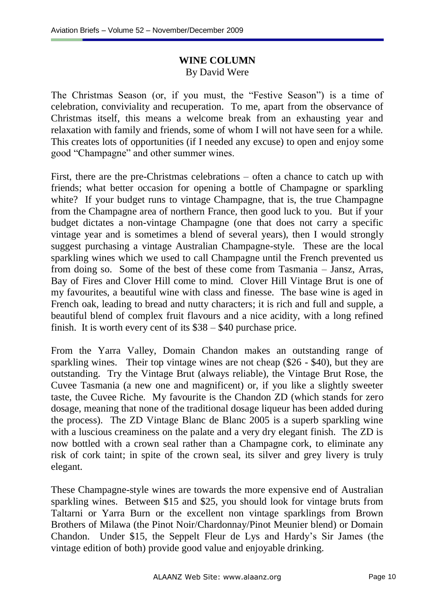# **WINE COLUMN** By David Were

The Christmas Season (or, if you must, the "Festive Season") is a time of celebration, conviviality and recuperation. To me, apart from the observance of Christmas itself, this means a welcome break from an exhausting year and relaxation with family and friends, some of whom I will not have seen for a while. This creates lots of opportunities (if I needed any excuse) to open and enjoy some good "Champagne" and other summer wines.

First, there are the pre-Christmas celebrations – often a chance to catch up with friends; what better occasion for opening a bottle of Champagne or sparkling white? If your budget runs to vintage Champagne, that is, the true Champagne from the Champagne area of northern France, then good luck to you. But if your budget dictates a non-vintage Champagne (one that does not carry a specific vintage year and is sometimes a blend of several years), then I would strongly suggest purchasing a vintage Australian Champagne-style. These are the local sparkling wines which we used to call Champagne until the French prevented us from doing so. Some of the best of these come from Tasmania – Jansz, Arras, Bay of Fires and Clover Hill come to mind. Clover Hill Vintage Brut is one of my favourites, a beautiful wine with class and finesse. The base wine is aged in French oak, leading to bread and nutty characters; it is rich and full and supple, a beautiful blend of complex fruit flavours and a nice acidity, with a long refined finish. It is worth every cent of its \$38 – \$40 purchase price.

From the Yarra Valley, Domain Chandon makes an outstanding range of sparkling wines. Their top vintage wines are not cheap (\$26 - \$40), but they are outstanding. Try the Vintage Brut (always reliable), the Vintage Brut Rose, the Cuvee Tasmania (a new one and magnificent) or, if you like a slightly sweeter taste, the Cuvee Riche. My favourite is the Chandon ZD (which stands for zero dosage, meaning that none of the traditional dosage liqueur has been added during the process). The ZD Vintage Blanc de Blanc 2005 is a superb sparkling wine with a luscious creaminess on the palate and a very dry elegant finish. The ZD is now bottled with a crown seal rather than a Champagne cork, to eliminate any risk of cork taint; in spite of the crown seal, its silver and grey livery is truly elegant.

These Champagne-style wines are towards the more expensive end of Australian sparkling wines. Between \$15 and \$25, you should look for vintage bruts from Taltarni or Yarra Burn or the excellent non vintage sparklings from Brown Brothers of Milawa (the Pinot Noir/Chardonnay/Pinot Meunier blend) or Domain Chandon. Under \$15, the Seppelt Fleur de Lys and Hardy"s Sir James (the vintage edition of both) provide good value and enjoyable drinking.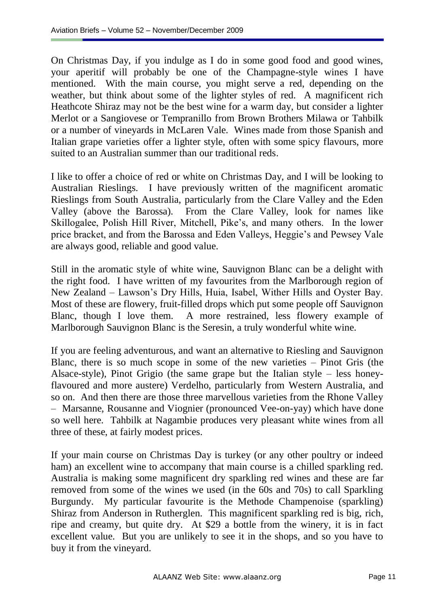On Christmas Day, if you indulge as I do in some good food and good wines, your aperitif will probably be one of the Champagne-style wines I have mentioned. With the main course, you might serve a red, depending on the weather, but think about some of the lighter styles of red. A magnificent rich Heathcote Shiraz may not be the best wine for a warm day, but consider a lighter Merlot or a Sangiovese or Tempranillo from Brown Brothers Milawa or Tahbilk or a number of vineyards in McLaren Vale. Wines made from those Spanish and Italian grape varieties offer a lighter style, often with some spicy flavours, more suited to an Australian summer than our traditional reds.

I like to offer a choice of red or white on Christmas Day, and I will be looking to Australian Rieslings. I have previously written of the magnificent aromatic Rieslings from South Australia, particularly from the Clare Valley and the Eden Valley (above the Barossa). From the Clare Valley, look for names like Skillogalee, Polish Hill River, Mitchell, Pike"s, and many others. In the lower price bracket, and from the Barossa and Eden Valleys, Heggie"s and Pewsey Vale are always good, reliable and good value.

Still in the aromatic style of white wine, Sauvignon Blanc can be a delight with the right food. I have written of my favourites from the Marlborough region of New Zealand – Lawson"s Dry Hills, Huia, Isabel, Wither Hills and Oyster Bay. Most of these are flowery, fruit-filled drops which put some people off Sauvignon Blanc, though I love them. A more restrained, less flowery example of Marlborough Sauvignon Blanc is the Seresin, a truly wonderful white wine.

If you are feeling adventurous, and want an alternative to Riesling and Sauvignon Blanc, there is so much scope in some of the new varieties – Pinot Gris (the Alsace-style), Pinot Grigio (the same grape but the Italian style – less honeyflavoured and more austere) Verdelho, particularly from Western Australia, and so on. And then there are those three marvellous varieties from the Rhone Valley – Marsanne, Rousanne and Viognier (pronounced Vee-on-yay) which have done so well here. Tahbilk at Nagambie produces very pleasant white wines from all three of these, at fairly modest prices.

If your main course on Christmas Day is turkey (or any other poultry or indeed ham) an excellent wine to accompany that main course is a chilled sparkling red. Australia is making some magnificent dry sparkling red wines and these are far removed from some of the wines we used (in the 60s and 70s) to call Sparkling Burgundy. My particular favourite is the Methode Champenoise (sparkling) Shiraz from Anderson in Rutherglen. This magnificent sparkling red is big, rich, ripe and creamy, but quite dry. At \$29 a bottle from the winery, it is in fact excellent value. But you are unlikely to see it in the shops, and so you have to buy it from the vineyard.